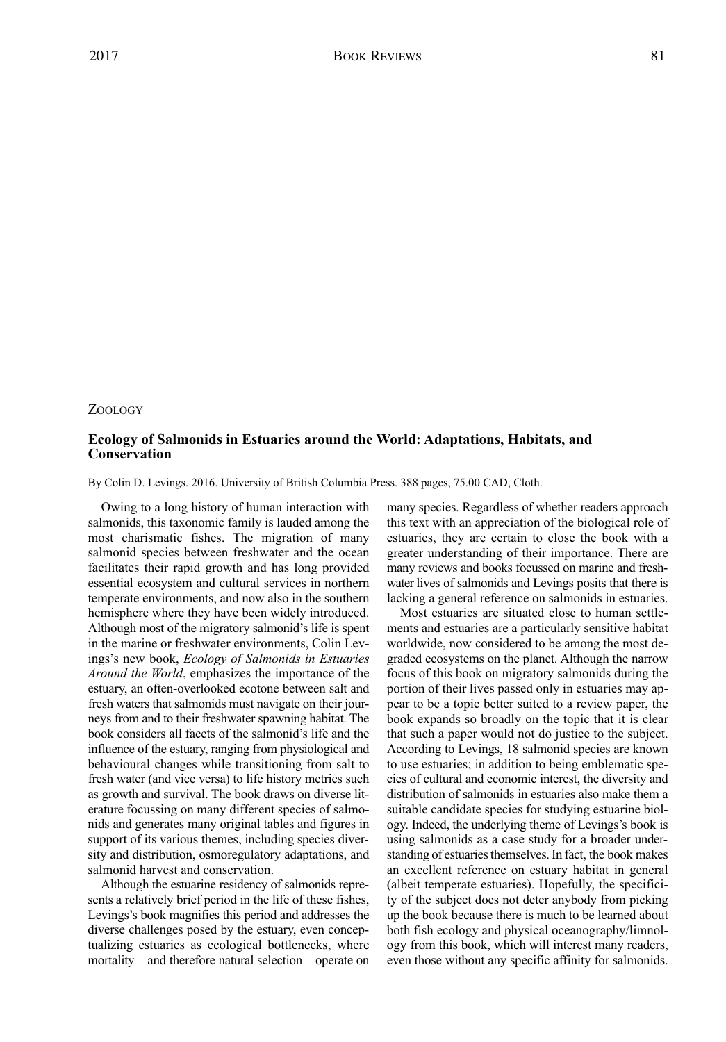## ZOOLOGY

## **Ecology of Salmonids in Estuaries around the World: Adaptations, Habitats, and Conservation**

By Colin D. Levings. 2016. University of British Columbia Press. 388 pages, 75.00 CAD, Cloth.

Owing to a long history of human interaction with salmonids, this taxonomic family is lauded among the most charismatic fishes. The migration of many salmonid species between freshwater and the ocean facilitates their rapid growth and has long provided essential ecosystem and cultural services in northern temperate environments, and now also in the southern hemisphere where they have been widely introduced. Although most of the migratory salmonid's life is spent in the marine or freshwater environments, Colin Levings's new book, *Ecology of Salmonids in Estuaries Around the World*, emphasizes the importance of the estuary, an often-overlooked ecotone between salt and fresh waters that salmonids must navigate on their journeys from and to their freshwater spawning habitat. The book considers all facets of the salmonid's life and the influence of the estuary, ranging from physiological and behavioural changes while transitioning from salt to fresh water (and vice versa) to life history metrics such as growth and survival. The book draws on diverse literature focussing on many different species of salmonids and generates many original tables and figures in support of its various themes, including species diversity and distribution, osmoregulatory adaptations, and salmonid harvest and conservation.

Although the estuarine residency of salmonids represents a relatively brief period in the life of these fishes, Levings's book magnifies this period and addresses the diverse challenges posed by the estuary, even conceptualizing estuaries as ecological bottlenecks, where mortality – and therefore natural selection – operate on many species. Regardless of whether readers approach this text with an appreciation of the biological role of estuaries, they are certain to close the book with a greater understanding of their importance. There are many reviews and books focussed on marine and freshwater lives of salmonids and Levings posits that there is lacking a general reference on salmonids in estuaries.

Most estuaries are situated close to human settlements and estuaries are a particularly sensitive habitat worldwide, now considered to be among the most degraded ecosystems on the planet. Although the narrow focus of this book on migratory salmonids during the portion of their lives passed only in estuaries may appear to be a topic better suited to a review paper, the book expands so broadly on the topic that it is clear that such a paper would not do justice to the subject. According to Levings, 18 salmonid species are known to use estuaries; in addition to being emblematic spe cies of cultural and economic interest, the diversity and distribution of salmonids in estuaries also make them a suitable candidate species for studying estuarine biology. Indeed, the underlying theme of Levings's book is using salmonids as a case study for a broader understanding of estuaries themselves. In fact, the book makes an excellent reference on estuary habitat in general (albeit temperate estuaries). Hopefully, the specificity of the subject does not deter anybody from picking up the book because there is much to be learned about both fish ecology and physical oceanography/limnology from this book, which will interest many readers, even those without any specific affinity for salmonids.